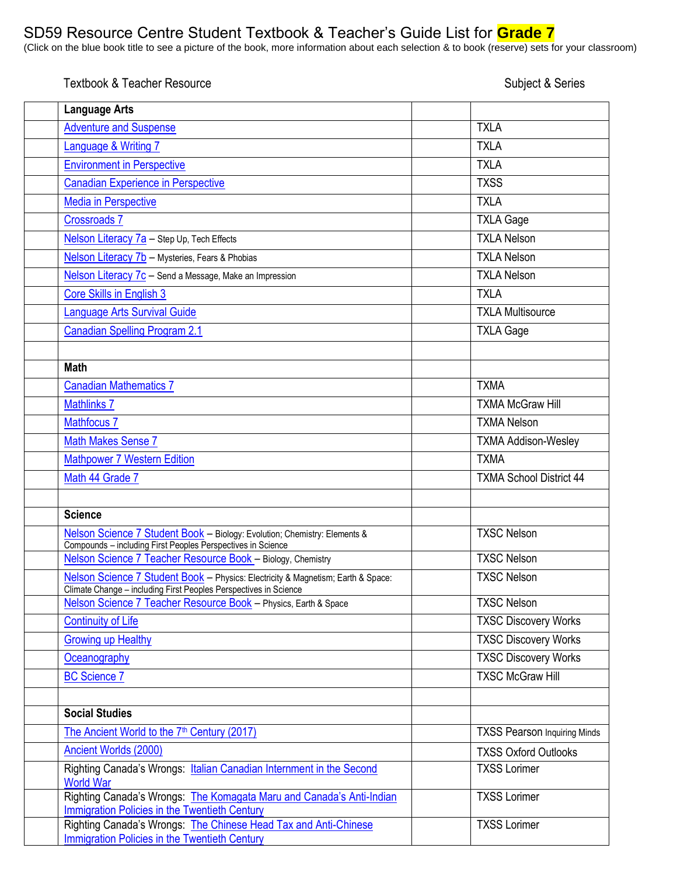## SD59 Resource Centre Student Textbook & Teacher's Guide List for **Grade 7**

(Click on the blue book title to see a picture of the book, more information about each selection & to book (reserve) sets for your classroom)

Textbook & Teacher Resource Subject & Series

| <b>Language Arts</b>                                                                                                                                 |                                     |
|------------------------------------------------------------------------------------------------------------------------------------------------------|-------------------------------------|
| <b>Adventure and Suspense</b>                                                                                                                        | <b>TXLA</b>                         |
| Language & Writing 7                                                                                                                                 | <b>TXLA</b>                         |
| <b>Environment in Perspective</b>                                                                                                                    | <b>TXLA</b>                         |
| <b>Canadian Experience in Perspective</b>                                                                                                            | <b>TXSS</b>                         |
| <b>Media in Perspective</b>                                                                                                                          | <b>TXLA</b>                         |
| <b>Crossroads 7</b>                                                                                                                                  | <b>TXLA Gage</b>                    |
| Nelson Literacy 7a - Step Up, Tech Effects                                                                                                           | <b>TXLA Nelson</b>                  |
| Nelson Literacy 7b - Mysteries, Fears & Phobias                                                                                                      | <b>TXLA Nelson</b>                  |
| Nelson Literacy 7c - Send a Message, Make an Impression                                                                                              | <b>TXLA Nelson</b>                  |
| Core Skills in English 3                                                                                                                             | <b>TXLA</b>                         |
| <b>Language Arts Survival Guide</b>                                                                                                                  | <b>TXLA Multisource</b>             |
| <b>Canadian Spelling Program 2.1</b>                                                                                                                 | <b>TXLA Gage</b>                    |
|                                                                                                                                                      |                                     |
| <b>Math</b>                                                                                                                                          |                                     |
| <b>Canadian Mathematics 7</b>                                                                                                                        | <b>TXMA</b>                         |
| <b>Mathlinks 7</b>                                                                                                                                   | <b>TXMA McGraw Hill</b>             |
| <b>Mathfocus 7</b>                                                                                                                                   | <b>TXMA Nelson</b>                  |
| <b>Math Makes Sense 7</b>                                                                                                                            | <b>TXMA Addison-Wesley</b>          |
| <b>Mathpower 7 Western Edition</b>                                                                                                                   | <b>TXMA</b>                         |
| Math 44 Grade 7                                                                                                                                      | <b>TXMA School District 44</b>      |
|                                                                                                                                                      |                                     |
| <b>Science</b>                                                                                                                                       |                                     |
| Nelson Science 7 Student Book - Biology: Evolution; Chemistry: Elements &<br>Compounds - including First Peoples Perspectives in Science             | <b>TXSC Nelson</b>                  |
| Nelson Science 7 Teacher Resource Book - Biology, Chemistry                                                                                          | <b>TXSC Nelson</b>                  |
| Nelson Science 7 Student Book - Physics: Electricity & Magnetism; Earth & Space:<br>Climate Change - including First Peoples Perspectives in Science | <b>TXSC Nelson</b>                  |
| Nelson Science 7 Teacher Resource Book - Physics, Earth & Space                                                                                      | <b>TXSC Nelson</b>                  |
| <b>Continuity of Life</b>                                                                                                                            | <b>TXSC Discovery Works</b>         |
| <b>Growing up Healthy</b>                                                                                                                            | <b>TXSC Discovery Works</b>         |
| Oceanography                                                                                                                                         | <b>TXSC Discovery Works</b>         |
| <b>BC Science 7</b>                                                                                                                                  | <b>TXSC McGraw Hill</b>             |
| <b>Social Studies</b>                                                                                                                                |                                     |
| The Ancient World to the 7 <sup>th</sup> Century (2017)                                                                                              | <b>TXSS Pearson Inquiring Minds</b> |
| Ancient Worlds (2000)                                                                                                                                | <b>TXSS Oxford Outlooks</b>         |
| Righting Canada's Wrongs: Italian Canadian Internment in the Second<br><b>World War</b>                                                              | <b>TXSS Lorimer</b>                 |
| Righting Canada's Wrongs: The Komagata Maru and Canada's Anti-Indian<br>Immigration Policies in the Twentieth Century                                | <b>TXSS Lorimer</b>                 |
| Righting Canada's Wrongs: The Chinese Head Tax and Anti-Chinese<br><b>Immigration Policies in the Twentieth Century</b>                              | <b>TXSS Lorimer</b>                 |